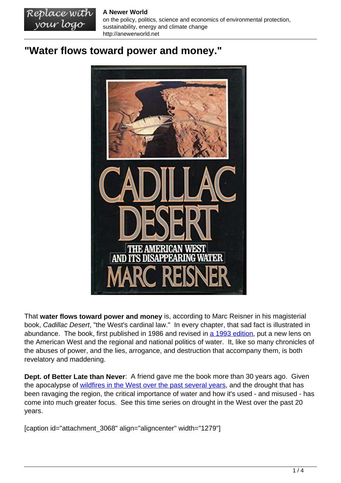**A Newer World**

Replace with your logo

on the policy, politics, science and economics of environmental protection, sustainability, energy and climate change http://anewerworld.net

## **"Water flows toward power and money."**



That **water flows toward power and money** is, according to Marc Reisner in his magisterial book, Cadillac Desert, "the West's cardinal law." In every chapter, that sad fact is illustrated in abundance. The book, first published in 1986 and revised in [a 1993 edition](https://www.penguinrandomhouse.com/books/323685/cadillac-desert-by-marc-reisner/), put a new lens on the American West and the regional and national politics of water. It, like so many chronicles of the abuses of power, and the lies, arrogance, and destruction that accompany them, is both revelatory and maddening.

**Dept. of Better Late than Never**: A friend gave me the book more than 30 years ago. Given the apocalypse of [wildfires in the West over the past several years,](https://www.nifc.gov/fire-information/nfn) and the drought that has been ravaging the region, the critical importance of water and how it's used - and misused - has come into much greater focus. See this time series on drought in the West over the past 20 years.

[caption id="attachment\_3068" align="aligncenter" width="1279"]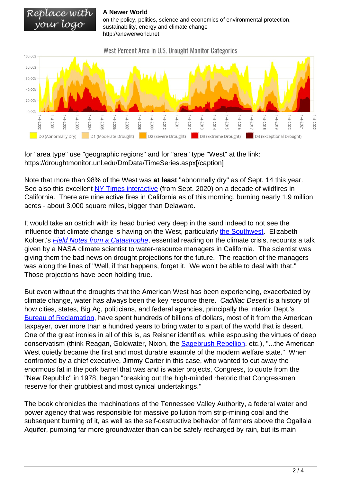Replace with<br>your logo **A Newer World** on the policy, politics, science and economics of environmental protection, sustainability, energy and climate change http://anewerworld.net



for "area type" use "geographic regions" and for "area" type "West" at the link: https://droughtmonitor.unl.edu/DmData/TimeSeries.aspx[/caption]

Note that more than 98% of the West was **at least** "abnormally dry" as of Sept. 14 this year. See also this excellent [NY Times interactive](https://www.nytimes.com/interactive/2020/09/24/climate/fires-worst-year-california-oregon-washington.html) (from Sept. 2020) on a decade of wildfires in California. There are nine active fires in California as of this morning, burning nearly 1.9 million acres - about 3,000 square miles, bigger than Delaware.

It would take an ostrich with its head buried very deep in the sand indeed to not see the influence that climate change is having on the West, particularly [the Southwest](https://nca2018.globalchange.gov/chapter/25/). Elizabeth Kolbert's **[Field Notes from a Catastrophe](https://www.bloomsbury.com/us/field-notes-from-a-catastrophe-9781620409886/)**, essential reading on the climate crisis, recounts a talk given by a NASA climate scientist to water-resource managers in California. The scientist was giving them the bad news on drought projections for the future. The reaction of the managers was along the lines of "Well, if that happens, forget it. We won't be able to deal with that." Those projections have been holding true.

But even without the droughts that the American West has been experiencing, exacerbated by climate change, water has always been the key resource there. Cadillac Desert is a history of how cities, states, Big Ag, politicians, and federal agencies, principally the Interior Dept.'s [Bureau of Reclamation,](https://www.usbr.gov/) have spent hundreds of billions of dollars, most of it from the American taxpayer, over more than a hundred years to bring water to a part of the world that is desert. One of the great ironies in all of this is, as Reisner identifies, while espousing the virtues of deep conservatism (think Reagan, Goldwater, Nixon, the **[Sagebrush Rebellion](https://en.wikipedia.org/wiki/Sagebrush_Rebellion)**, etc.), "...the American West quietly became the first and most durable example of the modern welfare state." When confronted by a chief executive, Jimmy Carter in this case, who wanted to cut away the enormous fat in the pork barrel that was and is water projects, Congress, to quote from the "New Republic" in 1978, began "breaking out the high-minded rhetoric that Congressmen reserve for their grubbiest and most cynical undertakings."

The book chronicles the machinations of the Tennessee Valley Authority, a federal water and power agency that was responsible for massive pollution from strip-mining coal and the subsequent burning of it, as well as the self-destructive behavior of farmers above the Ogallala Aquifer, pumping far more groundwater than can be safely recharged by rain, but its main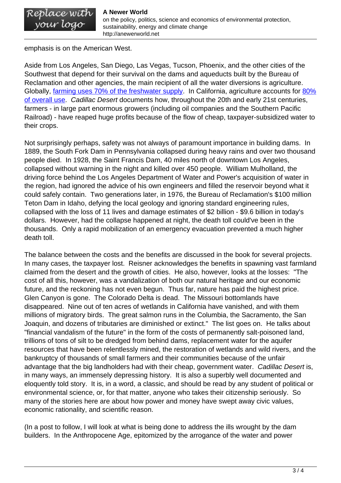emphasis is on the American West.

Aside from Los Angeles, San Diego, Las Vegas, Tucson, Phoenix, and the other cities of the Southwest that depend for their survival on the dams and aqueducts built by the Bureau of Reclamation and other agencies, the main recipient of all the water diversions is agriculture. Globally, [farming uses 70% of the freshwater supply](https://pacinst.org/water-food-and-agriculture/). In California, agriculture accounts for [80%](https://pacinst.org/publication/california-agricultural-water-use-key-background-information/) [of overall use.](https://pacinst.org/publication/california-agricultural-water-use-key-background-information/) Cadillac Desert documents how, throughout the 20th and early 21st centuries, farmers - in large part enormous growers (including oil companies and the Southern Pacific Railroad) - have reaped huge profits because of the flow of cheap, taxpayer-subsidized water to their crops.

Not surprisingly perhaps, safety was not always of paramount importance in building dams. In 1889, the South Fork Dam in Pennsylvania collapsed during heavy rains and over two thousand people died. In 1928, the Saint Francis Dam, 40 miles north of downtown Los Angeles, collapsed without warning in the night and killed over 450 people. William Mulholland, the driving force behind the Los Angeles Department of Water and Power's acquisition of water in the region, had ignored the advice of his own engineers and filled the reservoir beyond what it could safely contain. Two generations later, in 1976, the Bureau of Reclamation's \$100 million Teton Dam in Idaho, defying the local geology and ignoring standard engineering rules, collapsed with the loss of 11 lives and damage estimates of \$2 billion - \$9.6 billion in today's dollars. However, had the collapse happened at night, the death toll could've been in the thousands. Only a rapid mobilization of an emergency evacuation prevented a much higher death toll.

The balance between the costs and the benefits are discussed in the book for several projects. In many cases, the taxpayer lost. Reisner acknowledges the benefits in spawning vast farmland claimed from the desert and the growth of cities. He also, however, looks at the losses: "The cost of all this, however, was a vandalization of both our natural heritage and our economic future, and the reckoning has not even begun. Thus far, nature has paid the highest price. Glen Canyon is gone. The Colorado Delta is dead. The Missouri bottomlands have disappeared. Nine out of ten acres of wetlands in California have vanished, and with them millions of migratory birds. The great salmon runs in the Columbia, the Sacramento, the San Joaquin, and dozens of tributaries are diminished or extinct." The list goes on. He talks about "financial vandalism of the future" in the form of the costs of permanently salt-poisoned land, trillions of tons of silt to be dredged from behind dams, replacement water for the aquifer resources that have been relentlessly mined, the restoration of wetlands and wild rivers, and the bankruptcy of thousands of small farmers and their communities because of the unfair advantage that the big landholders had with their cheap, government water. Cadillac Desert is, in many ways, an immensely depressing history. It is also a superbly well documented and eloquently told story. It is, in a word, a classic, and should be read by any student of political or environmental science, or, for that matter, anyone who takes their citizenship seriously. So many of the stories here are about how power and money have swept away civic values, economic rationality, and scientific reason.

(In a post to follow, I will look at what is being done to address the ills wrought by the dam builders. In the Anthropocene Age, epitomized by the arrogance of the water and power